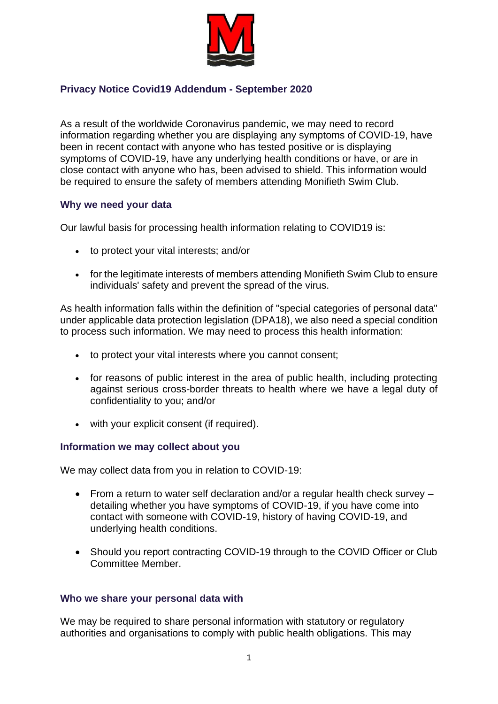

# **Privacy Notice Covid19 Addendum - September 2020**

As a result of the worldwide Coronavirus pandemic, we may need to record information regarding whether you are displaying any symptoms of COVID-19, have been in recent contact with anyone who has tested positive or is displaying symptoms of COVID-19, have any underlying health conditions or have, or are in close contact with anyone who has, been advised to shield. This information would be required to ensure the safety of members attending Monifieth Swim Club.

## **Why we need your data**

Our lawful basis for processing health information relating to COVID19 is:

- to protect your vital interests; and/or
- for the legitimate interests of members attending Monifieth Swim Club to ensure individuals' safety and prevent the spread of the virus.

As health information falls within the definition of "special categories of personal data" under applicable data protection legislation (DPA18), we also need a special condition to process such information. We may need to process this health information:

- to protect your vital interests where you cannot consent;
- for reasons of public interest in the area of public health, including protecting against serious cross-border threats to health where we have a legal duty of confidentiality to you; and/or
- with your explicit consent (if required).

### **Information we may collect about you**

We may collect data from you in relation to COVID-19:

- From a return to water self declaration and/or a regular health check survey detailing whether you have symptoms of COVID-19, if you have come into contact with someone with COVID-19, history of having COVID-19, and underlying health conditions.
- Should you report contracting COVID-19 through to the COVID Officer or Club Committee Member.

## **Who we share your personal data with**

We may be required to share personal information with statutory or regulatory authorities and organisations to comply with public health obligations. This may